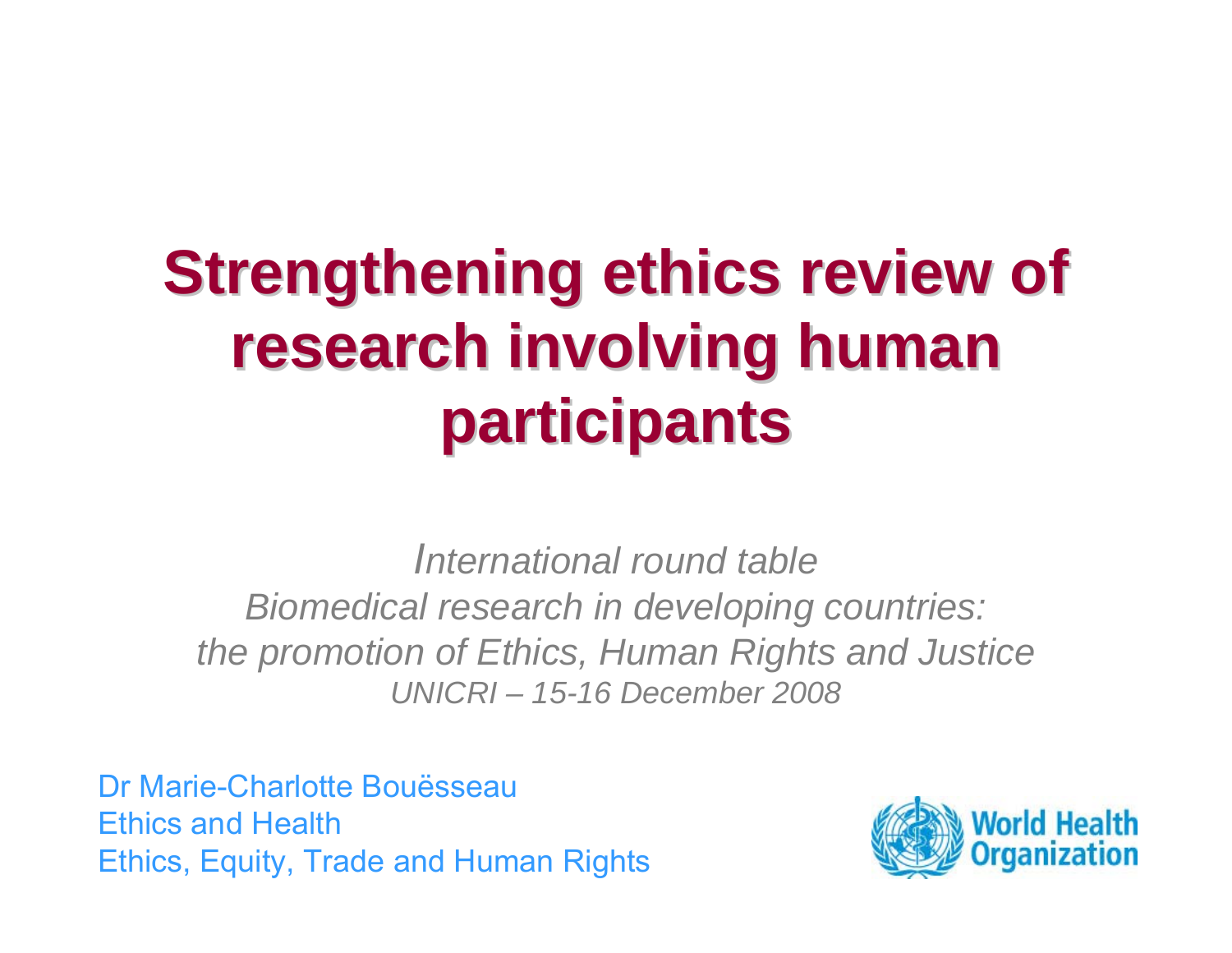# **Strengthening ethics review of research involving human participants participants**

*International round tableBiomedical research in developing countries: the promotion of Ethics, Human Rights and Justice UNICRI – 15-16 December 2008*

Dr Marie-Charlotte BouësseauEthics and HealthEthics, Equity, Trade and Human Rights

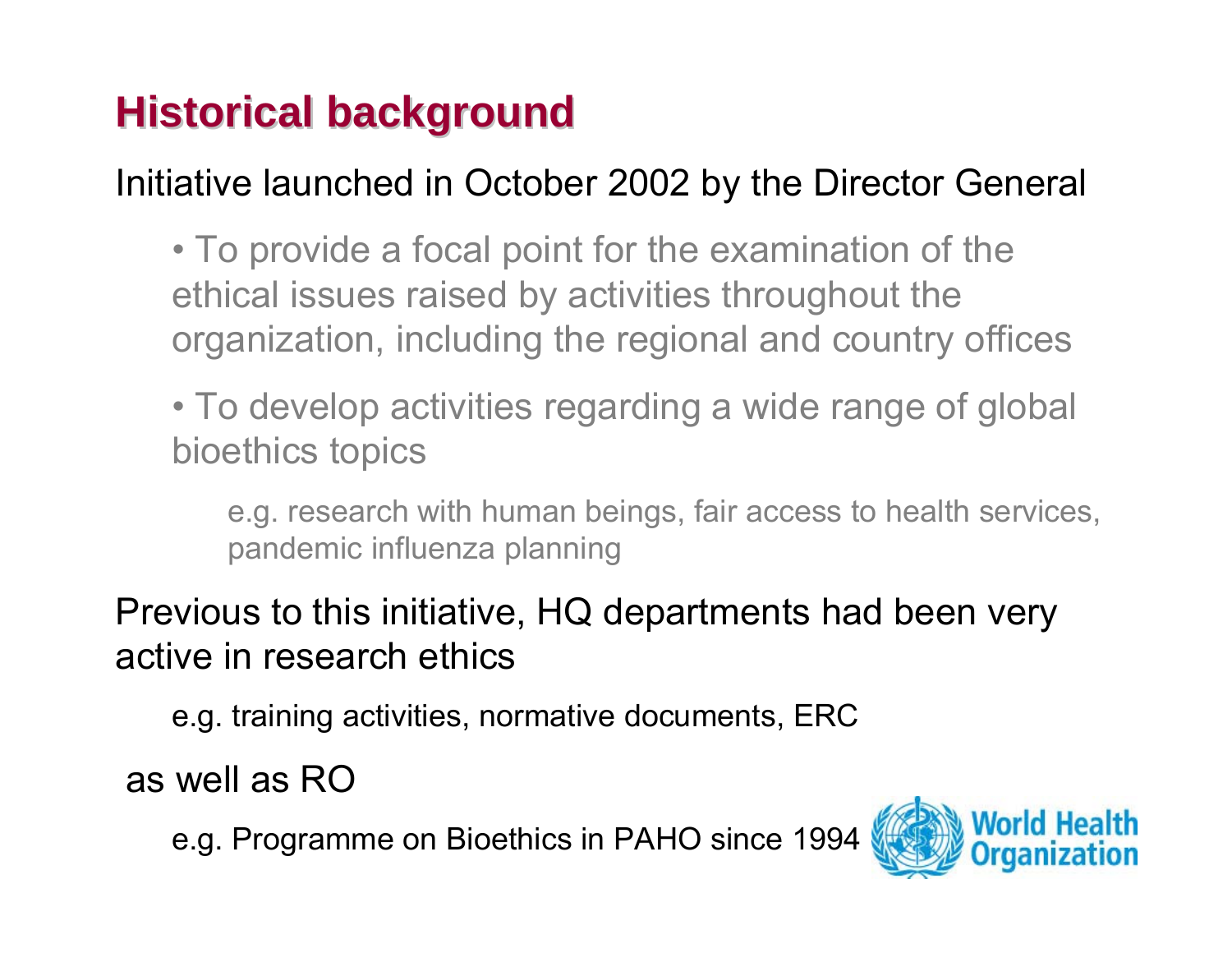### **Historical background Historical background**

Initiative launched in October 2002 by the Director General

• To provide a focal point for the examination of the ethical issues raised by activities throughout the organization, including the regional and country offices

• To develop activities regarding a wide range of global bioethics topics

e.g. research with human beings, fair access to health services, pandemic influenza planning

Previous to this initiative, HQ departments had been very active in research ethics

e.g. training activities, normative documents, ERC

as well as RO

e.g. Programme on Bioethics in PAHO since 1994

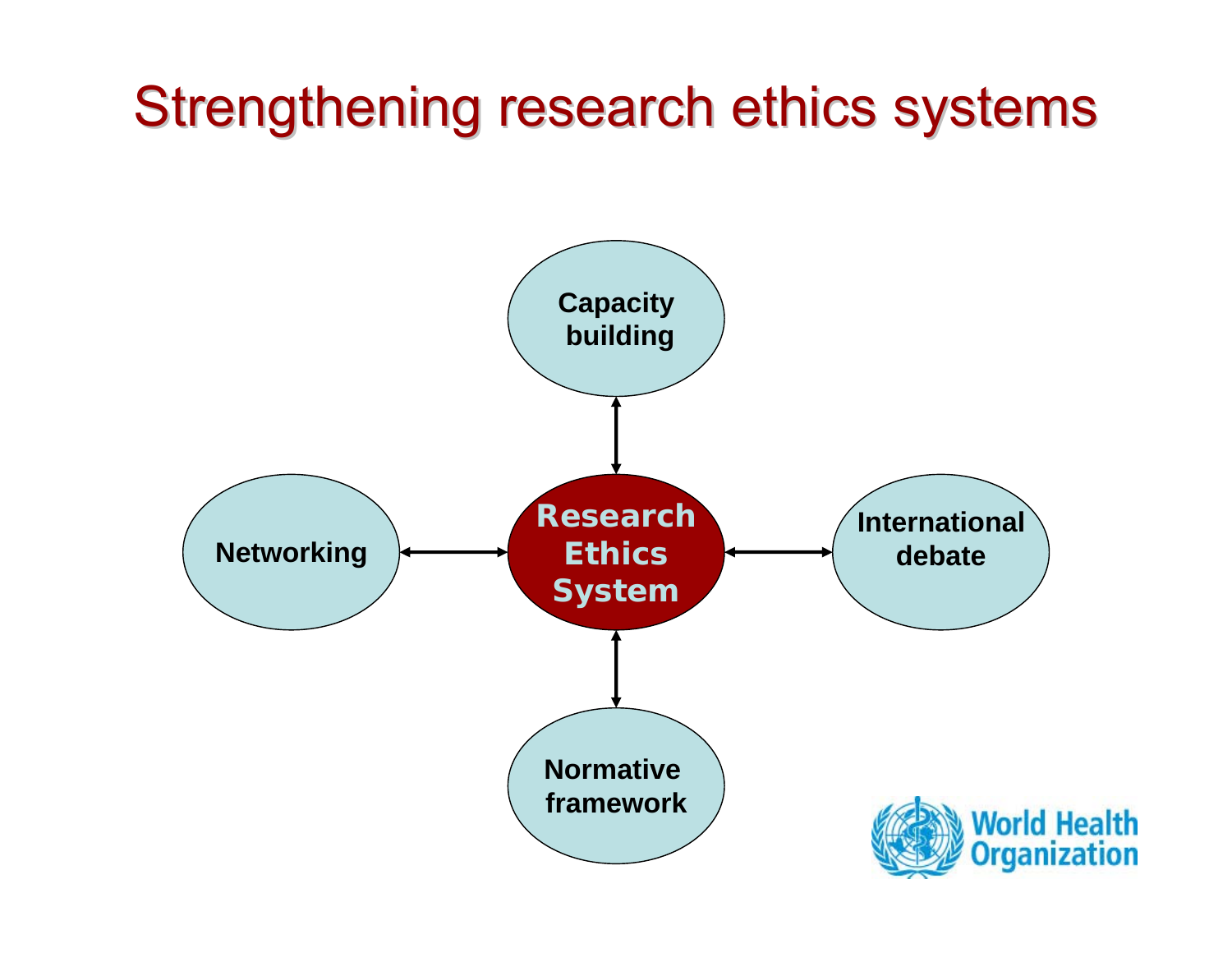## Strengthening research ethics systems

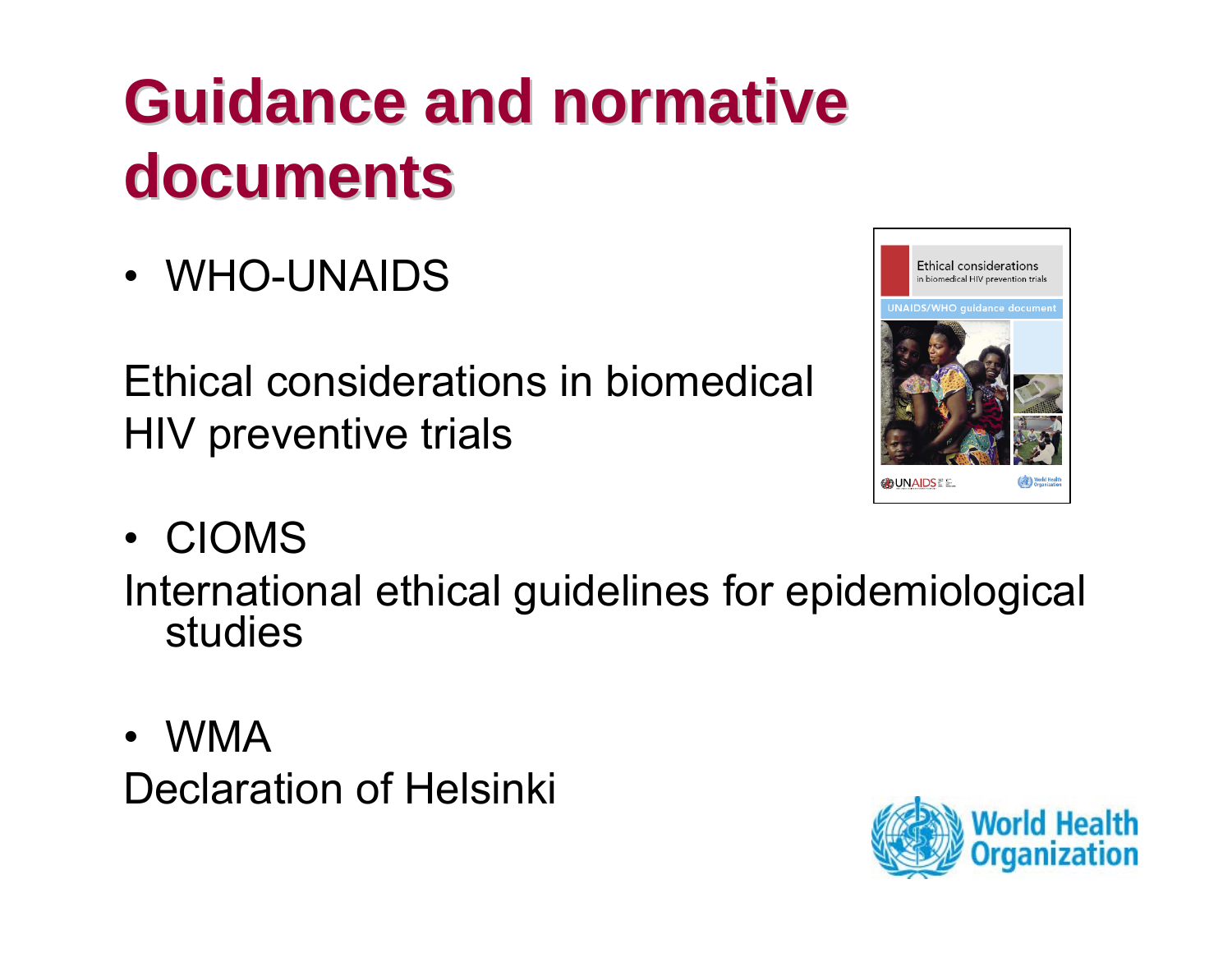# **Guidance and normative Guidance and normative documents documents**

• WHO-UNAIDS

Ethical considerations in biomedical HIV preventive trials



• CIOMS

International ethical guidelines for epidemiological studies

• WMA Declaration of Helsinki

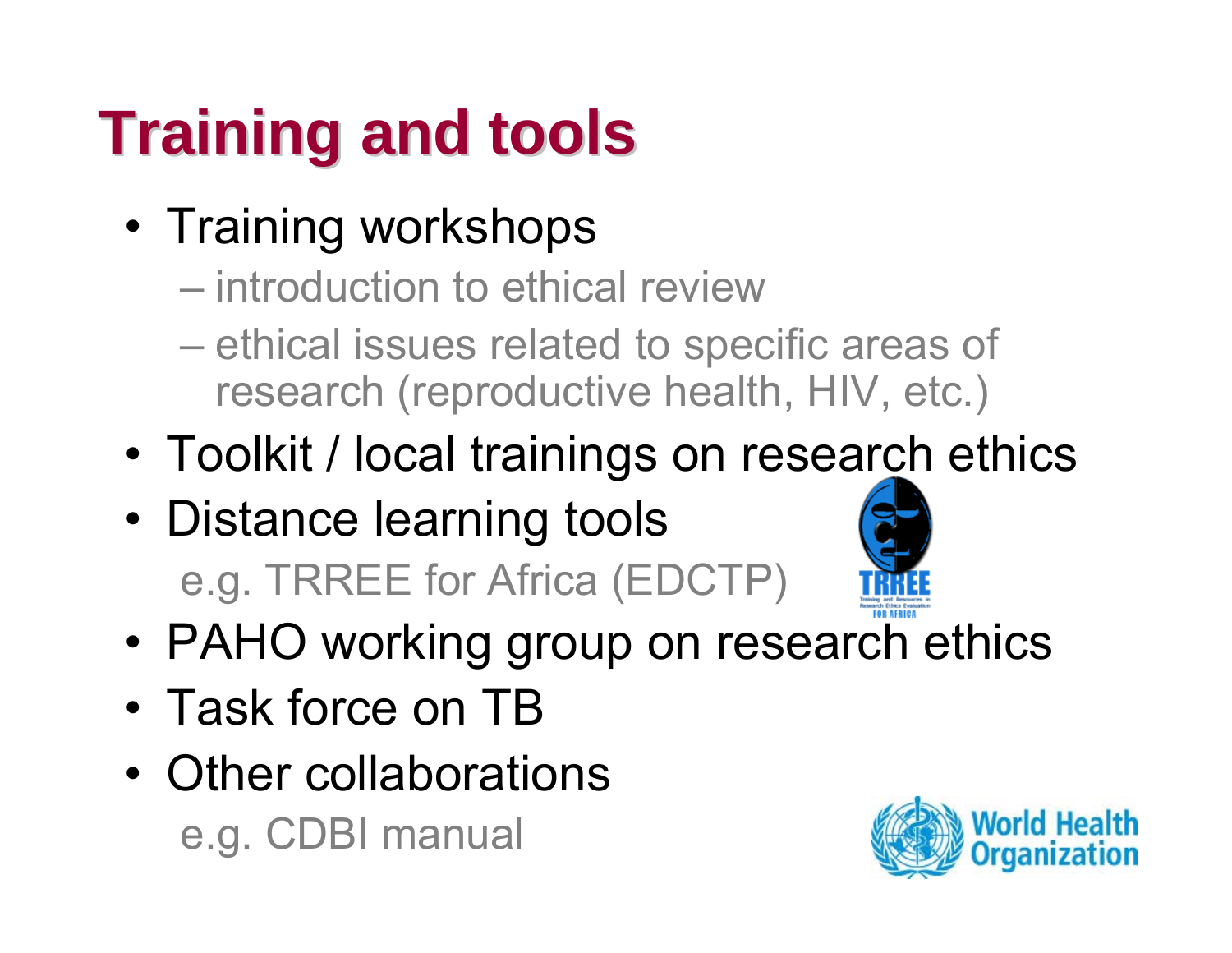# **Training and tools Training and tools**

- Training workshops
	- introduction to ethical review
	- ethical issues related to specific areas of research (reproductive health, HIV, etc.)
- •Toolkit / local trainings on research ethics
- Distance learning tools e.g. TRREE for Africa (EDCTP)



- •PAHO working group on research ethics
- Task force on TB
- Other collaborations e.g. CDBI manual

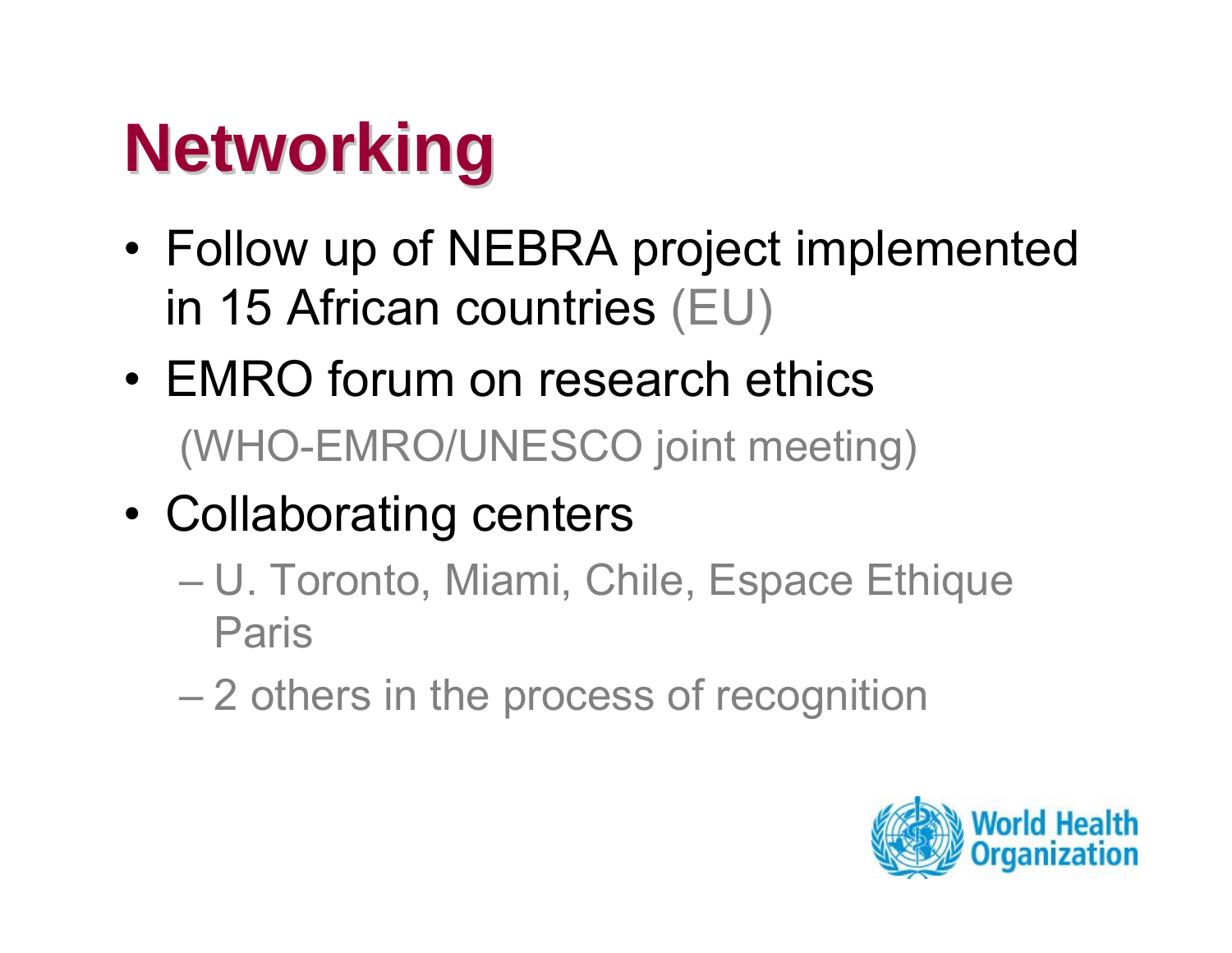# **Networking Networking**

- • Follow up of NEBRA project implemented in 15 African countries (EU)
- EMRO forum on research ethics (WHO-EMRO/UNESCO joint meeting)
- • Collaborating centers
	- U. Toronto, Miami, Chile, Espace Ethique Paris
	- 2 others in the process of recognition

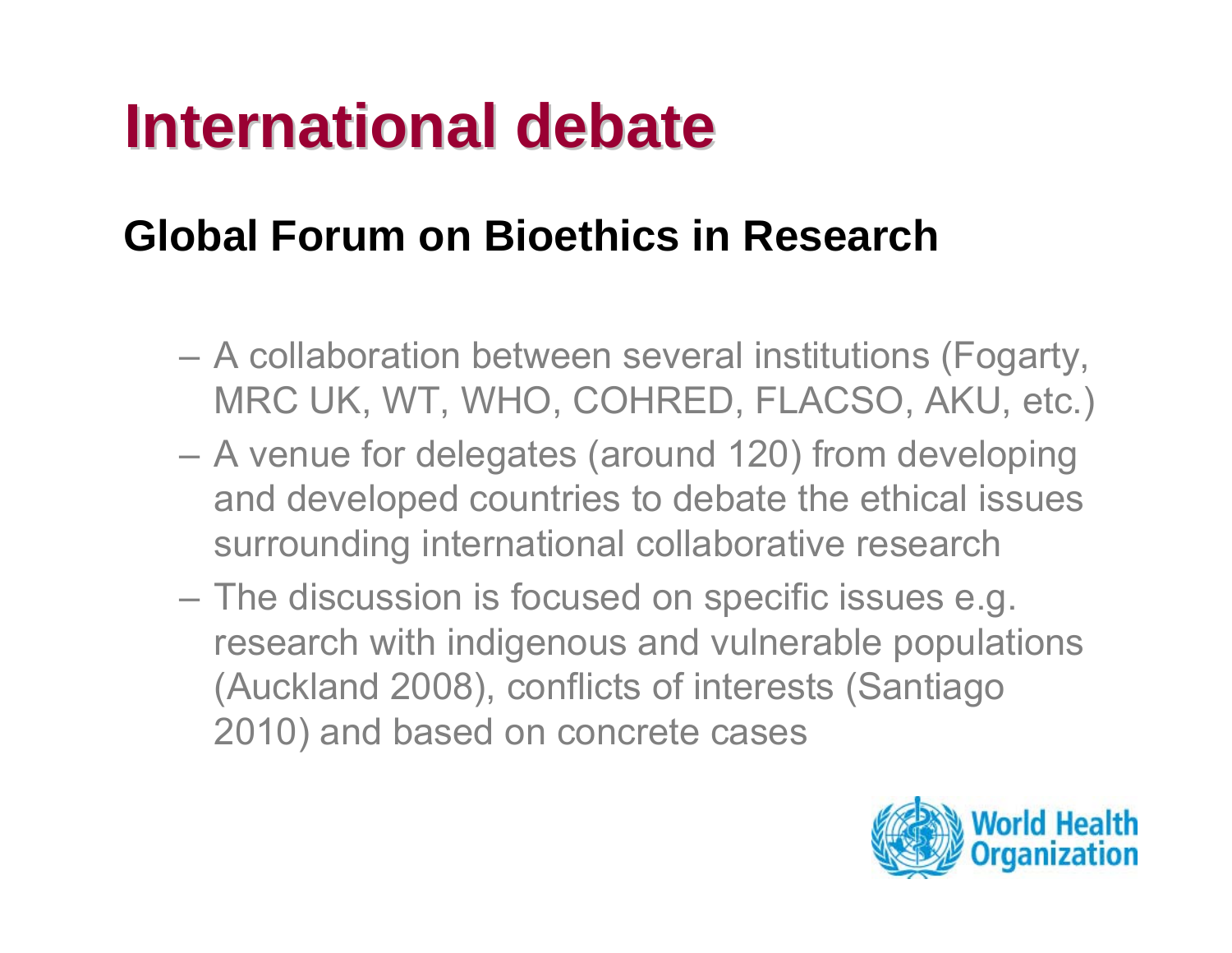## **International debate**

#### **Global Forum on Bioethics in Research**

- A collaboration between several institutions (Fogarty, MRC UK, WT, WHO, COHRED, FLACSO, AKU, etc.)
- A venue for delegates (around 120) from developing and developed countries to debate the ethical issues surrounding international collaborative research
- The discussion is focused on specific issues e.g. research with indigenous and vulnerable populations (Auckland 2008), conflicts of interests (Santiago 2010) and based on concrete cases

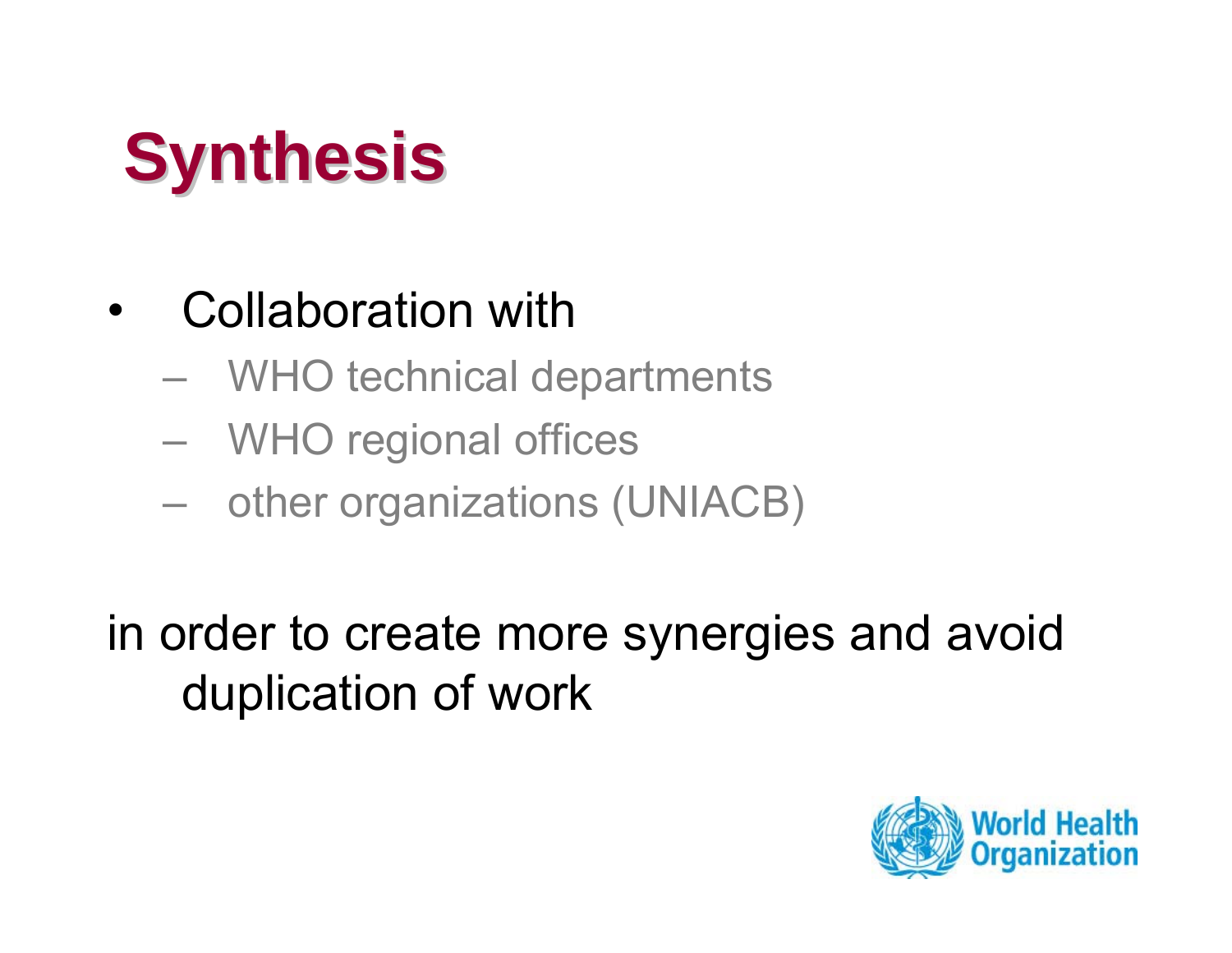# **Synthesis Synthesis**

#### •Collaboration with

- WHO technical departments
- WHO regional offices
- –other organizations (UNIACB)

in order to create more synergies and avoid duplication of work

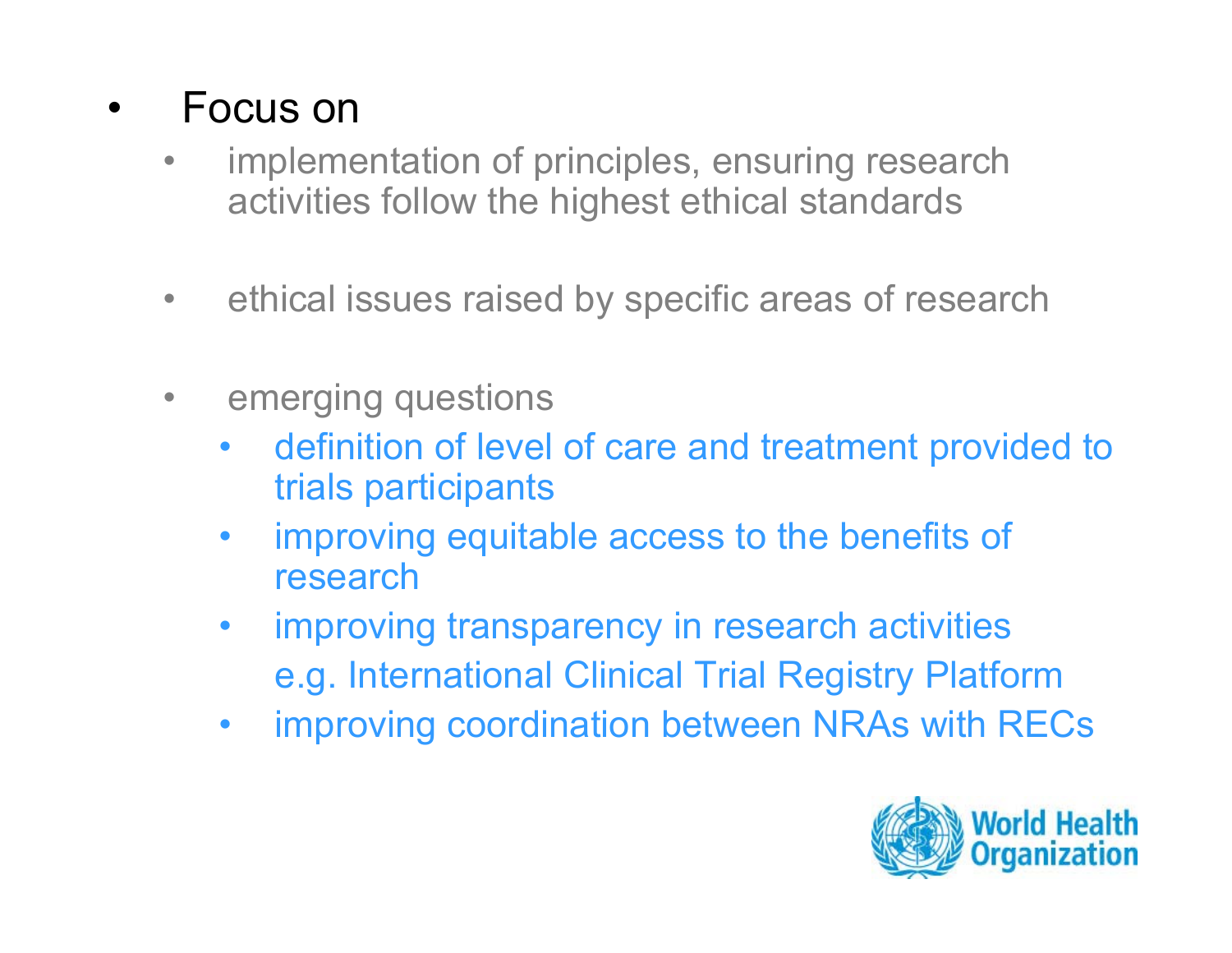#### •Focus on

- • implementation of principles, ensuring research activities follow the highest ethical standards
- $\bullet$ ethical issues raised by specific areas of research
- • emerging questions
	- $\bullet$  definition of level of care and treatment provided to trials participants
	- $\bullet$  improving equitable access to the benefits of research
	- $\bullet$  improving transparency in research activities e.g. International Clinical Trial Registry Platform
	- $\bullet$ improving coordination between NRAs with RECs

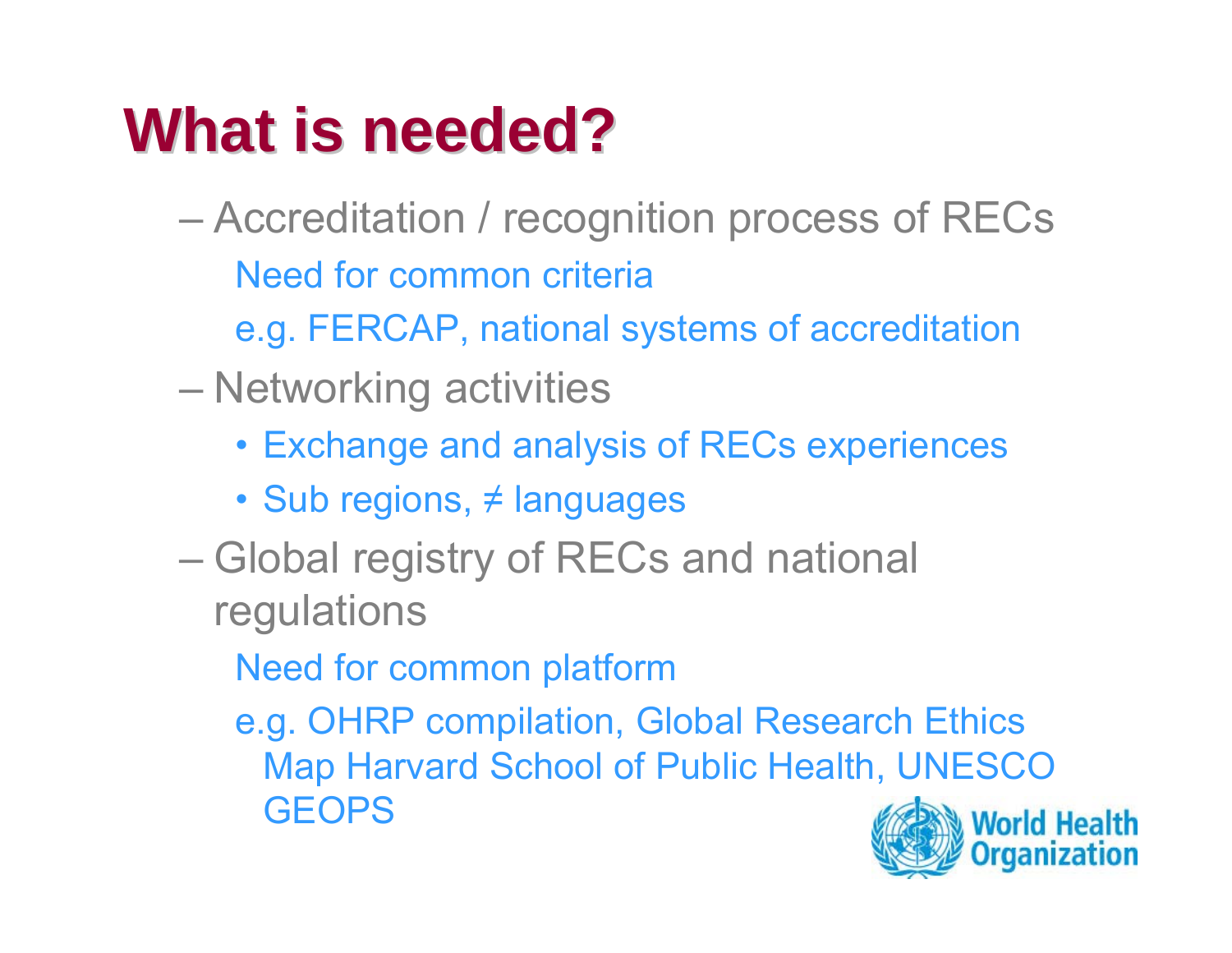# **What is needed? What is needed?**

- Accreditation / recognition process of RECs Need for common criteria
	- e.g. FERCAP, national systems of accreditation
- Networking activities
	- Exchange and analysis of RECs experiences
	- Sub regions, ≠ languages
- Global registry of RECs and national regulations
	- Need for common platform
	- e.g. OHRP compilation, Global Research Ethics Map Harvard School of Public Health, UNESCO **GEOPS**

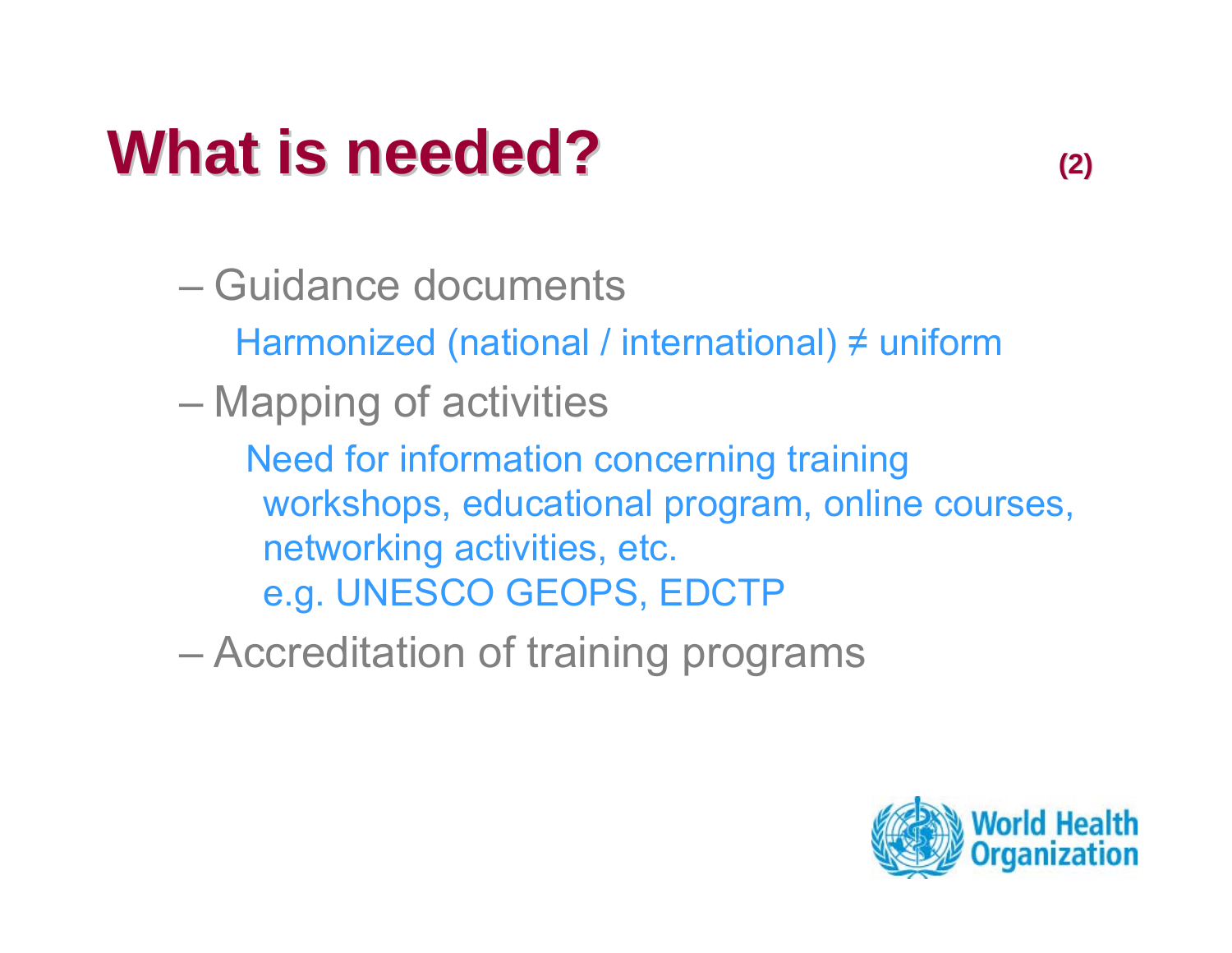## **What is needed? What is needed? (2)**

– Guidance documentsHarmonized (national / international) ≠ uniform Mapping of activities Need for information concerning training workshops, educational program, online courses, networking activities, etc. e.g. UNESCO GEOPS, EDCTP

Accreditation of training programs

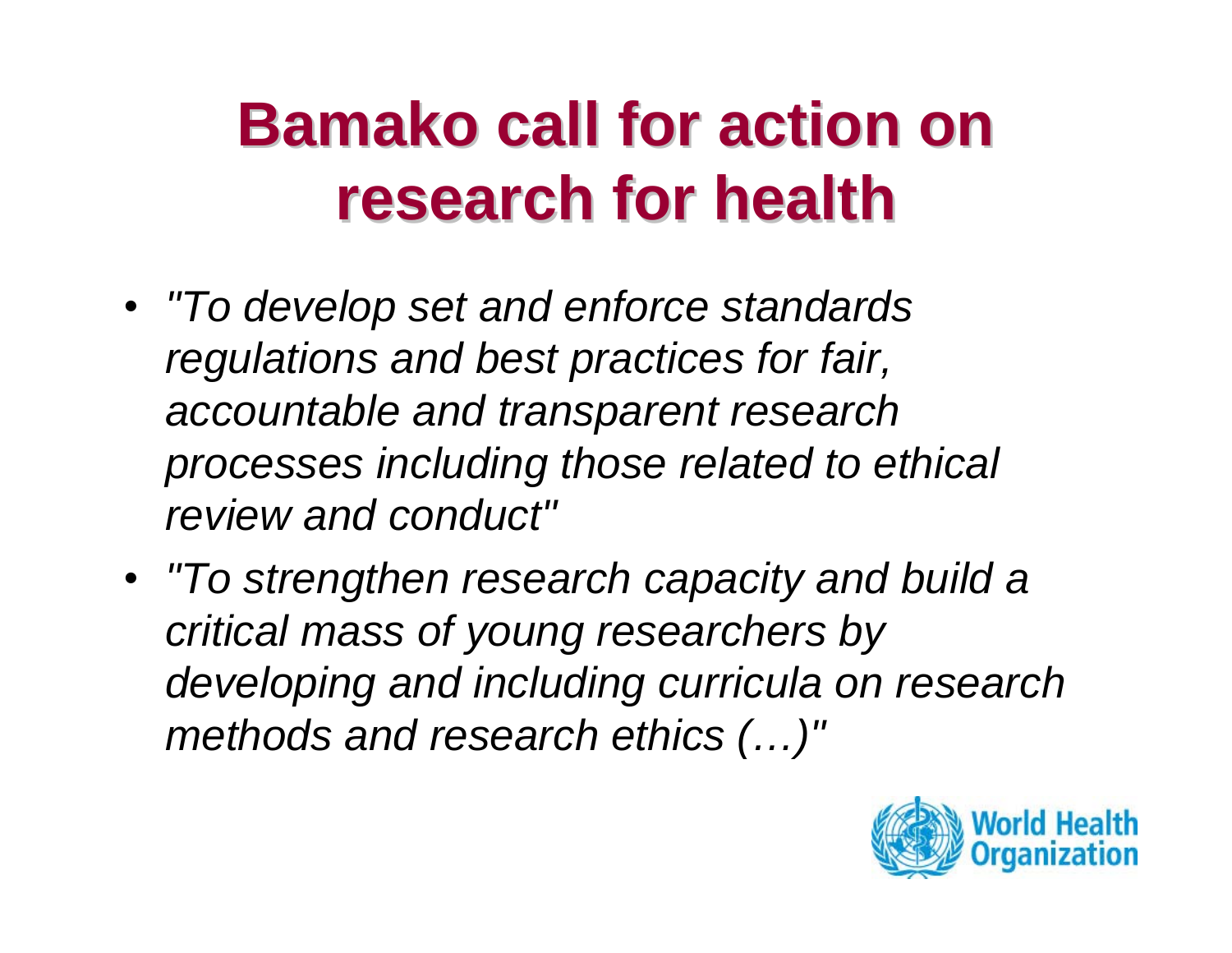# **Bamako call for action on research for health research for health**

- *"To develop set and enforce standards regulations and best practices for fair, accountable and transparent research processes including those related to ethical review and conduct"*
- *"To strengthen research capacity and build a critical mass of young researchers by developing and including curricula on research methods and research ethics (…)"*